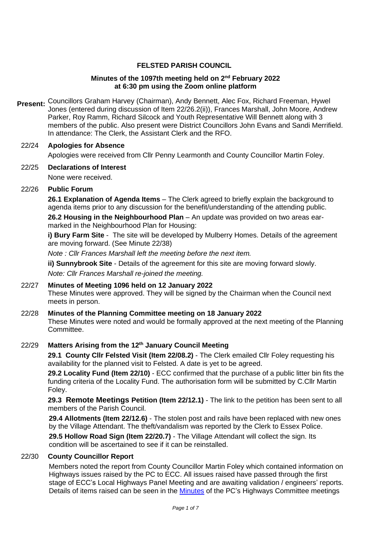#### **FELSTED PARISH COUNCIL**

#### **Minutes of the 1097th meeting held on 2 nd February 2022 at 6:30 pm using the Zoom online platform**

Present: Councillors Graham Harvey (Chairman), Andy Bennett, Alec Fox, Richard Freeman, Hywel Jones (entered during discussion of Item 22/26.2(ii)), Frances Marshall, John Moore, Andrew Parker, Roy Ramm, Richard Silcock and Youth Representative Will Bennett along with 3 members of the public. Also present were District Councillors John Evans and Sandi Merrifield. In attendance: The Clerk, the Assistant Clerk and the RFO.

#### 22/24 **Apologies for Absence**

Apologies were received from Cllr Penny Learmonth and County Councillor Martin Foley.

# 22/25 **Declarations of Interest**

None were received.

22/26 **Public Forum** 

**26.1 Explanation of Agenda Items** – The Clerk agreed to briefly explain the background to agenda items prior to any discussion for the benefit/understanding of the attending public.

**26.2 Housing in the Neighbourhood Plan** – An update was provided on two areas earmarked in the Neighbourhood Plan for Housing:

**i) Bury Farm Site** - The site will be developed by Mulberry Homes. Details of the agreement are moving forward. (See Minute 22/38)

*Note : Cllr Frances Marshall left the meeting before the next item.*

**ii) Sunnybrook Site** - Details of the agreement for this site are moving forward slowly.

*Note: Cllr Frances Marshall re-joined the meeting.* 

#### 22/27 **Minutes of Meeting 1096 held on 12 January 2022**  These Minutes were approved. They will be signed by the Chairman when the Council next meets in person.

#### 22/28 **Minutes of the Planning Committee meeting on 18 January 2022**

These Minutes were noted and would be formally approved at the next meeting of the Planning Committee.

#### 22/29 **Matters Arising from the 12th January Council Meeting**

**29.1 County Cllr Felsted Visit (Item 22/08.2)** - The Clerk emailed Cllr Foley requesting his availability for the planned visit to Felsted. A date is yet to be agreed.

**29.2 Locality Fund (Item 22/10)** - ECC confirmed that the purchase of a public litter bin fits the funding criteria of the Locality Fund. The authorisation form will be submitted by C.Cllr Martin Foley.

**29.3 Remote Meetings Petition (Item 22/12.1)** - The link to the petition has been sent to all members of the Parish Council.

**29.4 Allotments (Item 22/12.6)** - The stolen post and rails have been replaced with new ones by the Village Attendant. The theft/vandalism was reported by the Clerk to Essex Police.

**29.5 Hollow Road Sign (Item 22/20.7)** - The Village Attendant will collect the sign. Its condition will be ascertained to see if it can be reinstalled.

#### 22/30 **County Councillor Report**

Members noted the report from County Councillor Martin Foley which contained information on Highways issues raised by the PC to ECC. All issues raised have passed through the first stage of ECC's Local Highways Panel Meeting and are awaiting validation / engineers' reports. Details of items raised can be seen in the [Minutes](https://www.felsted-pc.gov.uk/wp-content/uploads/Highways-meeting-minutes-10-November-2021.pdf) of the PC's Highways Committee meetings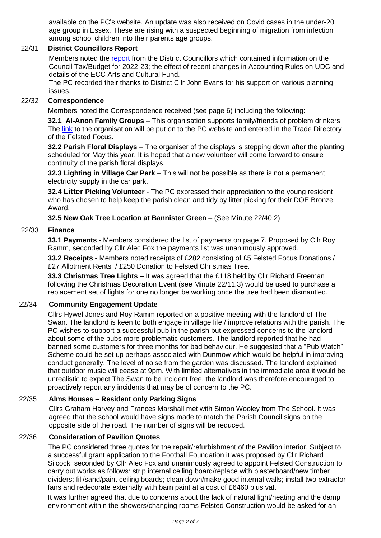available on the PC's website. An update was also received on Covid cases in the under-20 age group in Essex. These are rising with a suspected beginning of migration from infection among school children into their parents age groups.

### 22/31 **District Councillors Report**

Members noted the [report](https://www.felsted-pc.gov.uk/wp-content/uploads/DC-Report-February-2022.pdf) from the District Councillors which contained information on the Council Tax/Budget for 2022-23; the effect of recent changes in Accounting Rules on UDC and details of the ECC Arts and Cultural Fund.

The PC recorded their thanks to District Cllr John Evans for his support on various planning issues.

#### 22/32 **Correspondence**

Members noted the Correspondence received (see page 6) including the following:

**32.1 Al-Anon Family Groups** – This organisation supports family/friends of problem drinkers. The [link](https://www.al-anonuk.org.uk/) to the organisation will be put on to the PC website and entered in the Trade Directory of the Felsted Focus.

**32.2 Parish Floral Displays** – The organiser of the displays is stepping down after the planting scheduled for May this year. It is hoped that a new volunteer will come forward to ensure continuity of the parish floral displays.

**32.3 Lighting in Village Car Park** – This will not be possible as there is not a permanent electricity supply in the car park.

**32.4 Litter Picking Volunteer** - The PC expressed their appreciation to the young resident who has chosen to help keep the parish clean and tidy by litter picking for their DOE Bronze Award.

**32.5 New Oak Tree Location at Bannister Green** – (See Minute 22/40.2)

#### 22/33 **Finance**

**33.1 Payments** - Members considered the list of payments on page 7. Proposed by Cllr Roy Ramm, seconded by Cllr Alec Fox the payments list was unanimously approved.

**33.2 Receipts** - Members noted receipts of £282 consisting of £5 Felsted Focus Donations / £27 Allotment Rents / £250 Donation to Felsted Christmas Tree.

**33.3 Christmas Tree Lights –** It was agreed that the £118 held by Cllr Richard Freeman following the Christmas Decoration Event (see Minute 22/11.3) would be used to purchase a replacement set of lights for one no longer be working once the tree had been dismantled.

## 22/34 **Community Engagement Update**

Cllrs Hywel Jones and Roy Ramm reported on a positive meeting with the landlord of The Swan. The landlord is keen to both engage in village life / improve relations with the parish. The PC wishes to support a successful pub in the parish but expressed concerns to the landlord about some of the pubs more problematic customers. The landlord reported that he had banned some customers for three months for bad behaviour. He suggested that a "Pub Watch" Scheme could be set up perhaps associated with Dunmow which would be helpful in improving conduct generally. The level of noise from the garden was discussed. The landlord explained that outdoor music will cease at 9pm. With limited alternatives in the immediate area it would be unrealistic to expect The Swan to be incident free, the landlord was therefore encouraged to proactively report any incidents that may be of concern to the PC.

#### 22/35 **Alms Houses – Resident only Parking Signs**

Cllrs Graham Harvey and Frances Marshall met with Simon Wooley from The School. It was agreed that the school would have signs made to match the Parish Council signs on the opposite side of the road. The number of signs will be reduced.

## 22/36 **Consideration of Pavilion Quotes**

The PC considered three quotes for the repair/refurbishment of the Pavilion interior. Subject to a successful grant application to the Football Foundation it was proposed by Cllr Richard Silcock, seconded by Cllr Alec Fox and unanimously agreed to appoint Felsted Construction to carry out works as follows: strip internal ceiling board/replace with plasterboard/new timber dividers; fill/sand/paint ceiling boards; clean down/make good internal walls; install two extractor fans and redecorate externally with barn paint at a cost of £6460 plus vat.

It was further agreed that due to concerns about the lack of natural light/heating and the damp environment within the showers/changing rooms Felsted Construction would be asked for an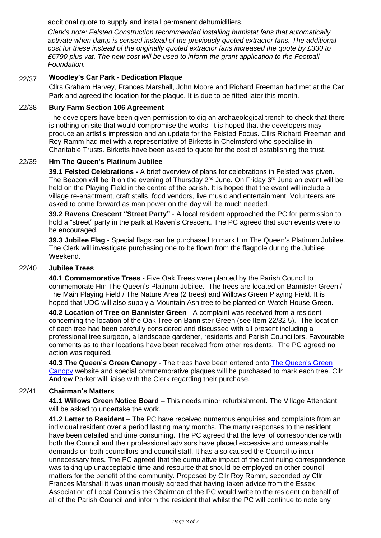additional quote to supply and install permanent dehumidifiers.

*Clerk's note: Felsted Construction recommended installing humistat fans that automatically activate when damp is sensed instead of the previously quoted extractor fans. The additional cost for these instead of the originally quoted extractor fans increased the quote by £330 to £6790 plus vat. The new cost will be used to inform the grant application to the Football Foundation.* 

## 22/37 **Woodley's Car Park - Dedication Plaque**

Cllrs Graham Harvey, Frances Marshall, John Moore and Richard Freeman had met at the Car Park and agreed the location for the plaque. It is due to be fitted later this month.

#### 22/38 **Bury Farm Section 106 Agreement**

The developers have been given permission to dig an archaeological trench to check that there is nothing on site that would compromise the works. It is hoped that the developers may produce an artist's impression and an update for the Felsted Focus. Cllrs Richard Freeman and Roy Ramm had met with a representative of Birketts in Chelmsford who specialise in Charitable Trusts. Birketts have been asked to quote for the cost of establishing the trust.

#### 22/39 **Hm The Queen's Platinum Jubilee**

**39.1 Felsted Celebrations -** A brief overview of plans for celebrations in Felsted was given. The Beacon will be lit on the evening of Thursday  $2^{nd}$  June. On Friday  $3^{rd}$  June an event will be held on the Playing Field in the centre of the parish. It is hoped that the event will include a village re-enactment, craft stalls, food vendors, live music and entertainment. Volunteers are asked to come forward as man power on the day will be much needed.

**39.2 Ravens Crescent "Street Party"** - A local resident approached the PC for permission to hold a "street" party in the park at Raven's Crescent. The PC agreed that such events were to be encouraged.

**39.3 Jubilee Flag** - Special flags can be purchased to mark Hm The Queen's Platinum Jubilee. The Clerk will investigate purchasing one to be flown from the flagpole during the Jubilee Weekend.

#### 22/40 **Jubilee Trees**

**40.1 Commemorative Trees** - Five Oak Trees were planted by the Parish Council to commemorate Hm The Queen's Platinum Jubilee. The trees are located on Bannister Green / The Main Playing Field / The Nature Area (2 trees) and Willows Green Playing Field. It is hoped that UDC will also supply a Mountain Ash tree to be planted on Watch House Green.

**40.2 Location of Tree on Bannister Green** - A complaint was received from a resident concerning the location of the Oak Tree on Bannister Green (see Item 22/32.5). The location of each tree had been carefully considered and discussed with all present including a professional tree surgeon, a landscape gardener, residents and Parish Councillors. Favourable comments as to their locations have been received from other residents. The PC agreed no action was required.

**40.3 The Queen's Green Canopy** - The trees have been entered onto [The Queen's Green](https://queensgreencanopy.org/map-education-hub/)  [Canopy](https://queensgreencanopy.org/map-education-hub/) website and special commemorative plaques will be purchased to mark each tree. Cllr Andrew Parker will liaise with the Clerk regarding their purchase.

#### 22/41 **Chairman's Matters**

**41.1 Willows Green Notice Board** – This needs minor refurbishment. The Village Attendant will be asked to undertake the work.

**41.2 Letter to Resident** – The PC have received numerous enquiries and complaints from an individual resident over a period lasting many months. The many responses to the resident have been detailed and time consuming. The PC agreed that the level of correspondence with both the Council and their professional advisors have placed excessive and unreasonable demands on both councillors and council staff. It has also caused the Council to incur unnecessary fees. The PC agreed that the cumulative impact of the continuing correspondence was taking up unacceptable time and resource that should be employed on other council matters for the benefit of the community. Proposed by Cllr Roy Ramm, seconded by Cllr Frances Marshall it was unanimously agreed that having taken advice from the Essex Association of Local Councils the Chairman of the PC would write to the resident on behalf of all of the Parish Council and inform the resident that whilst the PC will continue to note any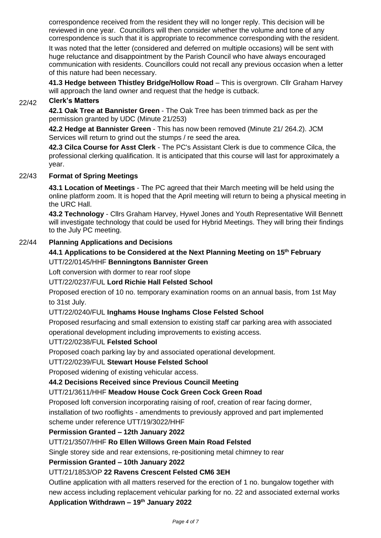correspondence received from the resident they will no longer reply. This decision will be reviewed in one year. Councillors will then consider whether the volume and tone of any correspondence is such that it is appropriate to recommence corresponding with the resident.

It was noted that the letter (considered and deferred on multiple occasions) will be sent with huge reluctance and disappointment by the Parish Council who have always encouraged communication with residents. Councillors could not recall any previous occasion when a letter of this nature had been necessary.

**41.3 Hedge between Thistley Bridge/Hollow Road** – This is overgrown. Cllr Graham Harvey will approach the land owner and request that the hedge is cutback.

#### 22/42 **Clerk's Matters**

**42.1 Oak Tree at Bannister Green** - The Oak Tree has been trimmed back as per the permission granted by UDC (Minute 21/253)

**42.2 Hedge at Bannister Green** - This has now been removed (Minute 21/ 264.2). JCM Services will return to grind out the stumps / re seed the area.

**42.3 Cilca Course for Asst Clerk** - The PC's Assistant Clerk is due to commence Cilca, the professional clerking qualification. It is anticipated that this course will last for approximately a year.

#### 22/43 **Format of Spring Meetings**

**43.1 Location of Meetings** - The PC agreed that their March meeting will be held using the online platform zoom. It is hoped that the April meeting will return to being a physical meeting in the URC Hall.

**43.2 Technology** - Cllrs Graham Harvey, Hywel Jones and Youth Representative Will Bennett will investigate technology that could be used for Hybrid Meetings. They will bring their findings to the July PC meeting.

## 22/44 **Planning Applications and Decisions**

## **44.1 Applications to be Considered at the Next Planning Meeting on 15 th February** UTT/22/0145/HHF **Benningtons Bannister Green**

Loft conversion with dormer to rear roof slope

#### UTT/22/0237/FUL **Lord Richie Hall Felsted School**

Proposed erection of 10 no. temporary examination rooms on an annual basis, from 1st May to 31st July.

## UTT/22/0240/FUL **Inghams House Inghams Close Felsted School**

Proposed resurfacing and small extension to existing staff car parking area with associated operational development including improvements to existing access.

#### UTT/22/0238/FUL **Felsted School**

Proposed coach parking lay by and associated operational development.

#### UTT/22/0239/FUL **Stewart House Felsted School**

Proposed widening of existing vehicular access.

#### **44.2 Decisions Received since Previous Council Meeting**

#### UTT/21/3611/HHF **Meadow House Cock Green Cock Green Road**

Proposed loft conversion incorporating raising of roof, creation of rear facing dormer, installation of two rooflights - amendments to previously approved and part implemented

scheme under reference UTT/19/3022/HHF

#### **Permission Granted – 12th January 2022**

#### UTT/21/3507/HHF **Ro Ellen Willows Green Main Road Felsted**

Single storey side and rear extensions, re-positioning metal chimney to rear

#### **Permission Granted – 10th January 2022**

## UTT/21/1853/OP **22 Ravens Crescent Felsted CM6 3EH**

Outline application with all matters reserved for the erection of 1 no. bungalow together with new access including replacement vehicular parking for no. 22 and associated external works **Application Withdrawn – 19th January 2022**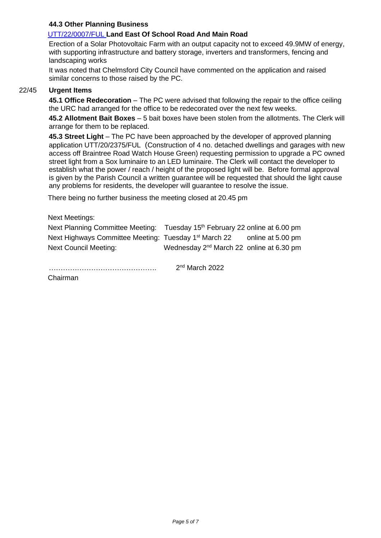#### **44.3 Other Planning Business**

## [UTT/22/0007/FUL](https://publicaccess.uttlesford.gov.uk/online-applications/applicationDetails.do?activeTab=summary&keyVal=R56ZWMQNJ7L00&prevPage=inTray) **Land East Of School Road And Main Road**

Erection of a Solar Photovoltaic Farm with an output capacity not to exceed 49.9MW of energy, with supporting infrastructure and battery storage, inverters and transformers, fencing and landscaping works

It was noted that Chelmsford City Council have commented on the application and raised similar concerns to those raised by the PC.

### 22/45 **Urgent Items**

**45.1 Office Redecoration** – The PC were advised that following the repair to the office ceiling the URC had arranged for the office to be redecorated over the next few weeks.

**45.2 Allotment Bait Boxes** – 5 bait boxes have been stolen from the allotments. The Clerk will arrange for them to be replaced.

**45.3 Street Light** – The PC have been approached by the developer of approved planning application UTT/20/2375/FUL (Construction of 4 no. detached dwellings and garages with new access off Braintree Road Watch House Green) requesting permission to upgrade a PC owned street light from a Sox luminaire to an LED luminaire. The Clerk will contact the developer to establish what the power / reach / height of the proposed light will be. Before formal approval is given by the Parish Council a written guarantee will be requested that should the light cause any problems for residents, the developer will guarantee to resolve the issue.

There being no further business the meeting closed at 20.45 pm

| Next Meetings:                                                    |                                                        |                   |
|-------------------------------------------------------------------|--------------------------------------------------------|-------------------|
| Next Planning Committee Meeting:                                  | Tuesday 15 <sup>th</sup> February 22 online at 6.00 pm |                   |
| Next Highways Committee Meeting: Tuesday 1 <sup>st</sup> March 22 |                                                        | online at 5.00 pm |
| <b>Next Council Meeting:</b>                                      | Wednesday 2 <sup>nd</sup> March 22 online at 6.30 pm   |                   |

 $2<sup>nd</sup>$  March 2022

Chairman

………………………………………. 2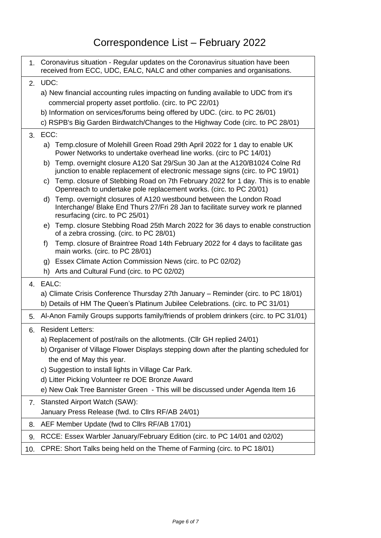|              | 1. Coronavirus situation - Regular updates on the Coronavirus situation have been<br>received from ECC, UDC, EALC, NALC and other companies and organisations.                                 |  |  |  |  |  |
|--------------|------------------------------------------------------------------------------------------------------------------------------------------------------------------------------------------------|--|--|--|--|--|
| 2.           | UDC:                                                                                                                                                                                           |  |  |  |  |  |
|              | a) New financial accounting rules impacting on funding available to UDC from it's                                                                                                              |  |  |  |  |  |
|              | commercial property asset portfolio. (circ. to PC 22/01)                                                                                                                                       |  |  |  |  |  |
|              | b) Information on services/forums being offered by UDC. (circ. to PC 26/01)                                                                                                                    |  |  |  |  |  |
|              | c) RSPB's Big Garden Birdwatch/Changes to the Highway Code (circ. to PC 28/01)                                                                                                                 |  |  |  |  |  |
| 3.           | ECC:                                                                                                                                                                                           |  |  |  |  |  |
|              | a) Temp.closure of Molehill Green Road 29th April 2022 for 1 day to enable UK<br>Power Networks to undertake overhead line works. (circ to PC 14/01)                                           |  |  |  |  |  |
|              | Temp. overnight closure A120 Sat 29/Sun 30 Jan at the A120/B1024 Colne Rd<br>b)<br>junction to enable replacement of electronic message signs (circ. to PC 19/01)                              |  |  |  |  |  |
|              | Temp. closure of Stebbing Road on 7th February 2022 for 1 day. This is to enable<br>C)<br>Openreach to undertake pole replacement works. (circ. to PC 20/01)                                   |  |  |  |  |  |
|              | Temp. overnight closures of A120 westbound between the London Road<br>d)<br>Interchange/ Blake End Thurs 27/Fri 28 Jan to facilitate survey work re planned<br>resurfacing (circ. to PC 25/01) |  |  |  |  |  |
|              | Temp. closure Stebbing Road 25th March 2022 for 36 days to enable construction<br>e)<br>of a zebra crossing. (circ. to PC 28/01)                                                               |  |  |  |  |  |
|              | Temp. closure of Braintree Road 14th February 2022 for 4 days to facilitate gas<br>f)<br>main works. (circ. to PC 28/01)                                                                       |  |  |  |  |  |
|              | g) Essex Climate Action Commission News (circ. to PC 02/02)                                                                                                                                    |  |  |  |  |  |
|              | h) Arts and Cultural Fund (circ. to PC 02/02)                                                                                                                                                  |  |  |  |  |  |
| $\mathbf{4}$ | EALC:                                                                                                                                                                                          |  |  |  |  |  |
|              | a) Climate Crisis Conference Thursday 27th January – Reminder (circ. to PC 18/01)<br>b) Details of HM The Queen's Platinum Jubilee Celebrations. (circ. to PC 31/01)                           |  |  |  |  |  |
| 5.           | Al-Anon Family Groups supports family/friends of problem drinkers (circ. to PC 31/01)                                                                                                          |  |  |  |  |  |
| 6.           | <b>Resident Letters:</b>                                                                                                                                                                       |  |  |  |  |  |
|              | a) Replacement of post/rails on the allotments. (Cllr GH replied 24/01)                                                                                                                        |  |  |  |  |  |
|              | b) Organiser of Village Flower Displays stepping down after the planting scheduled for                                                                                                         |  |  |  |  |  |
|              | the end of May this year.                                                                                                                                                                      |  |  |  |  |  |
|              | c) Suggestion to install lights in Village Car Park.                                                                                                                                           |  |  |  |  |  |
|              | d) Litter Picking Volunteer re DOE Bronze Award                                                                                                                                                |  |  |  |  |  |
|              | e) New Oak Tree Bannister Green - This will be discussed under Agenda Item 16                                                                                                                  |  |  |  |  |  |
| 7.           | <b>Stansted Airport Watch (SAW):</b>                                                                                                                                                           |  |  |  |  |  |
|              | January Press Release (fwd. to Cllrs RF/AB 24/01)                                                                                                                                              |  |  |  |  |  |
| 8.           | AEF Member Update (fwd to Cllrs RF/AB 17/01)                                                                                                                                                   |  |  |  |  |  |
| 9.           | RCCE: Essex Warbler January/February Edition (circ. to PC 14/01 and 02/02)                                                                                                                     |  |  |  |  |  |
|              |                                                                                                                                                                                                |  |  |  |  |  |

10. CPRE: Short Talks being held on the Theme of Farming (circ. to PC 18/01)